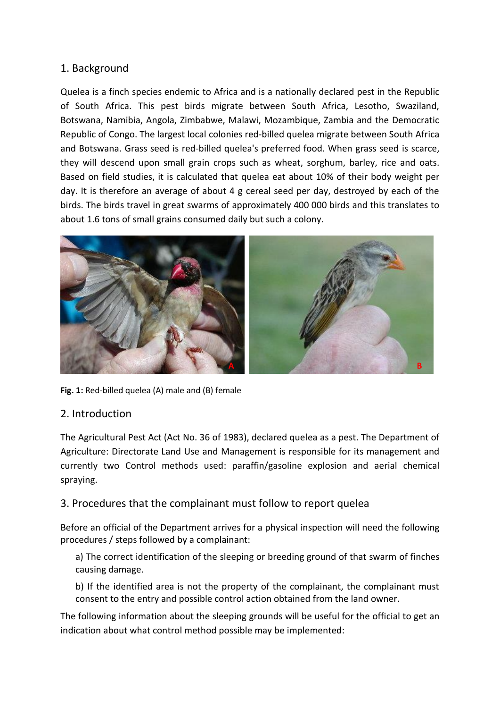# 1. Background

Quelea is a finch species endemic to Africa and is a nationally declared pest in the Republic of South Africa. This pest birds migrate between South Africa, Lesotho, Swaziland, Botswana, Namibia, Angola, Zimbabwe, Malawi, Mozambique, Zambia and the Democratic Republic of Congo. The largest local colonies red-billed quelea migrate between South Africa and Botswana. Grass seed is red-billed quelea's preferred food. When grass seed is scarce, they will descend upon small grain crops such as wheat, sorghum, barley, rice and oats. Based on field studies, it is calculated that quelea eat about 10% of their body weight per day. It is therefore an average of about 4 g cereal seed per day, destroyed by each of the birds. The birds travel in great swarms of approximately 400 000 birds and this translates to about 1.6 tons of small grains consumed daily but such a colony.



**Fig. 1:** Red-billed quelea (A) male and (B) female

## 2. Introduction

The Agricultural Pest Act (Act No. 36 of 1983), declared quelea as a pest. The Department of Agriculture: Directorate Land Use and Management is responsible for its management and currently two Control methods used: paraffin/gasoline explosion and aerial chemical spraying.

## 3. Procedures that the complainant must follow to report quelea

Before an official of the Department arrives for a physical inspection will need the following procedures / steps followed by a complainant:

a) The correct identification of the sleeping or breeding ground of that swarm of finches causing damage.

b) If the identified area is not the property of the complainant, the complainant must consent to the entry and possible control action obtained from the land owner.

The following information about the sleeping grounds will be useful for the official to get an indication about what control method possible may be implemented: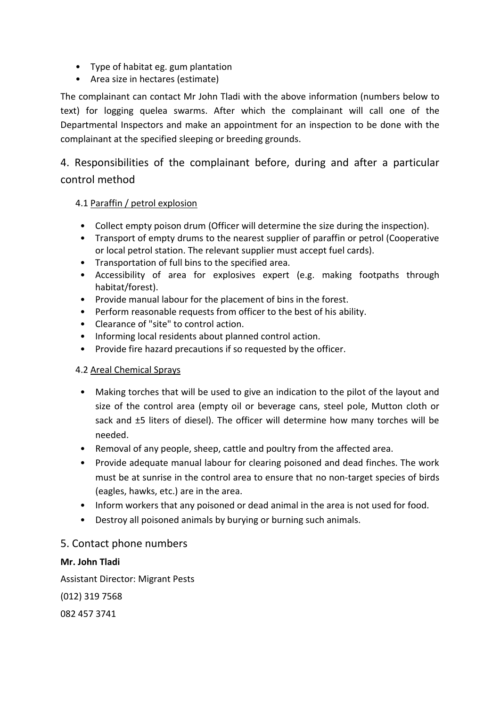- Type of habitat eg. gum plantation
- Area size in hectares (estimate)

The complainant can contact Mr John Tladi with the above information (numbers below to text) for logging quelea swarms. After which the complainant will call one of the Departmental Inspectors and make an appointment for an inspection to be done with the complainant at the specified sleeping or breeding grounds.

4. Responsibilities of the complainant before, during and after a particular control method

#### 4.1 Paraffin / petrol explosion

- Collect empty poison drum (Officer will determine the size during the inspection).
- Transport of empty drums to the nearest supplier of paraffin or petrol (Cooperative or local petrol station. The relevant supplier must accept fuel cards).
- Transportation of full bins to the specified area.
- Accessibility of area for explosives expert (e.g. making footpaths through habitat/forest).
- Provide manual labour for the placement of bins in the forest.
- Perform reasonable requests from officer to the best of his ability.
- Clearance of "site" to control action.
- Informing local residents about planned control action.
- Provide fire hazard precautions if so requested by the officer.

## 4.2 Areal Chemical Sprays

- Making torches that will be used to give an indication to the pilot of the layout and size of the control area (empty oil or beverage cans, steel pole, Mutton cloth or sack and ±5 liters of diesel). The officer will determine how many torches will be needed.
- Removal of any people, sheep, cattle and poultry from the affected area.
- Provide adequate manual labour for clearing poisoned and dead finches. The work must be at sunrise in the control area to ensure that no non-target species of birds (eagles, hawks, etc.) are in the area.
- Inform workers that any poisoned or dead animal in the area is not used for food.
- Destroy all poisoned animals by burying or burning such animals.

## 5. Contact phone numbers

## **Mr. John Tladi**

Assistant Director: Migrant Pests

(012) 319 7568

082 457 3741